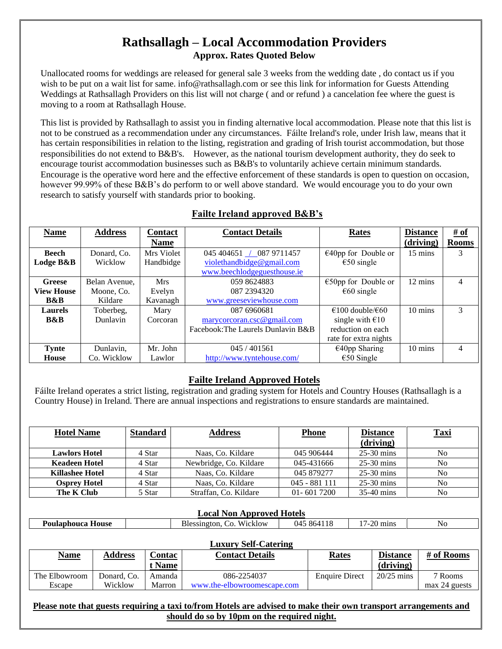# **Rathsallagh – Local Accommodation Providers Approx. Rates Quoted Below**

Unallocated rooms for weddings are released for general sale 3 weeks from the wedding date , do contact us if you wish to be put on a wait list for same. info@rathsallagh.com or see this link for information for Guests Attending Weddings at Rathsallagh Providers on this list will not charge ( and or refund ) a cancelation fee where the guest is moving to a room at Rathsallagh House.

This list is provided by Rathsallagh to assist you in finding alternative local accommodation. Please note that this list is not to be construed as a recommendation under any circumstances. Fáilte Ireland's role, under Irish law, means that it has certain responsibilities in relation to the listing, registration and grading of Irish tourist accommodation, but those responsibilities do not extend to B&B's. However, as the national tourism development authority, they do seek to encourage tourist accommodation businesses such as B&B's to voluntarily achieve certain minimum standards. Encourage is the operative word here and the effective enforcement of these standards is open to question on occasion, however 99.99% of these B&B's do perform to or well above standard. We would encourage you to do your own research to satisfy yourself with standards prior to booking.

| <b>Name</b>       | <b>Address</b> | <b>Contact</b> | <b>Contact Details</b>             | <b>Rates</b>                         | <b>Distance</b>   | $\frac{\text{\# of}}{\text{\# of}}$ |
|-------------------|----------------|----------------|------------------------------------|--------------------------------------|-------------------|-------------------------------------|
|                   |                | <b>Name</b>    |                                    |                                      | (driving)         | <b>Rooms</b>                        |
| <b>Beech</b>      | Donard, Co.    | Mrs Violet     | 045 404651 / 087 9711457           | $\epsilon$ 40pp for Double or        | $15 \text{ mins}$ | 3                                   |
| Lodge B&B         | Wicklow        | Handbidge      | violethandbidge@gmail.com          | $\epsilon$ 50 single                 |                   |                                     |
|                   |                |                | www.beechlodgeguesthouse.ie        |                                      |                   |                                     |
| Greese            | Belan Avenue,  | <b>Mrs</b>     | 059 8624883                        | $\epsilon$ 50pp for Double or        | 12 mins           | 4                                   |
| <b>View House</b> | Moone, Co.     | Evelyn         | 087 2394320                        | $\epsilon$ 60 single                 |                   |                                     |
| <b>B&amp;B</b>    | Kildare        | Kavanagh       | www.greeseviewhouse.com            |                                      |                   |                                     |
| <b>Laurels</b>    | Toberbeg,      | Mary           | 087 6960681                        | $\epsilon$ 100 double/ $\epsilon$ 60 | $10 \text{ mins}$ | 3                                   |
| <b>B&amp;B</b>    | Dunlavin       | Corcoran       | marycorcoran.csc@gmail.com         | single with $\epsilon$ 10            |                   |                                     |
|                   |                |                | Facebook: The Laurels Dunlavin B&B | reduction on each                    |                   |                                     |
|                   |                |                |                                    | rate for extra nights                |                   |                                     |
| <b>Tynte</b>      | Dunlavin,      | Mr. John       | 045 / 401561                       | $€40$ pp Sharing                     | 10 mins           | 4                                   |
| House             | Co. Wicklow    | Lawlor         | http://www.tyntehouse.com/         | $\epsilon$ 50 Single                 |                   |                                     |

## **Failte Ireland approved B&B's**

## **Failte Ireland Approved Hotels**

Fáilte Ireland operates a strict listing, registration and grading system for Hotels and Country Houses (Rathsallagh is a Country House) in Ireland. There are annual inspections and registrations to ensure standards are maintained.

| <b>Hotel Name</b>      | <b>Standard</b> | <b>Address</b>         | <b>Phone</b>   | <b>Distance</b><br>(driving) | <b>Taxi</b>    |
|------------------------|-----------------|------------------------|----------------|------------------------------|----------------|
| <b>Lawlors Hotel</b>   | 4 Star          | Naas, Co. Kildare      | 045 906444     | $25-30$ mins                 | No             |
| <b>Keadeen Hotel</b>   | 4 Star          | Newbridge, Co. Kildare | 045-431666     | $25-30$ mins                 | N <sub>0</sub> |
| <b>Killashee Hotel</b> | 4 Star          | Naas, Co. Kildare      | 045 879277     | $25-30$ mins                 | N <sub>0</sub> |
| <b>Osprey Hotel</b>    | 4 Star          | Naas, Co. Kildare      | $045 - 881111$ | $25-30$ mins                 | N <sub>o</sub> |
| The K Club             | 5 Star          | Straffan, Co. Kildare  | $01 - 6017200$ | $35-40$ mins                 | N <sub>o</sub> |

#### **Local Non Approved Hotels**

|  | <b>louse</b><br>$\overline{\phantom{a}}$<br>. .<br>РЛ | - -<br>$- - - -$<br>Wicklow<br>nr | (1)4<br>Xh∕ | $\sim$<br>.,<br><br>. | Nυ. |
|--|-------------------------------------------------------|-----------------------------------|-------------|-----------------------|-----|
|--|-------------------------------------------------------|-----------------------------------|-------------|-----------------------|-----|

|               |                |        | <b>Luxury Self-Catering</b> |                       |                 |               |
|---------------|----------------|--------|-----------------------------|-----------------------|-----------------|---------------|
| <u>Name</u>   | <b>Address</b> | Contac | <b>Contact Details</b>      | Rates                 | <b>Distance</b> | # of Rooms    |
|               |                | t Name |                             |                       | (driving)       |               |
| The Elbowroom | Donard, Co.    | Amanda | 086-2254037                 | <b>Enquire Direct</b> | $20/25$ mins    | 7 Rooms       |
| Escape        | Wicklow        | Marron | www.the-elbowroomescape.com |                       |                 | max 24 guests |

**Please note that guests requiring a taxi to/from Hotels are advised to make their own transport arrangements and should do so by 10pm on the required night.**